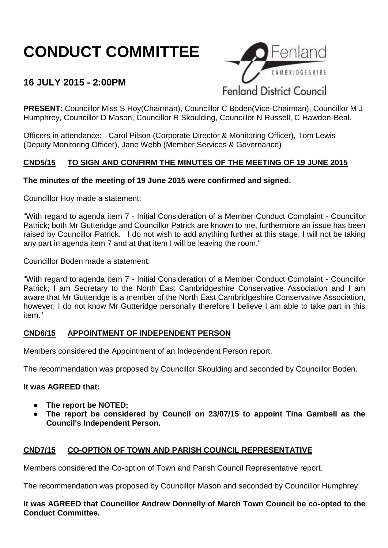# **CONDUCT COMMITTEE**

# **16 JULY 2015 - 2:00PM**



**PRESENT**: Councillor Miss S Hoy(Chairman), Councillor C Boden(Vice-Chairman), Councillor M J Humphrey, Councillor D Mason, Councillor R Skoulding, Councillor N Russell, C Hawden-Beal.

Officers in attendance: Carol Pilson (Corporate Director & Monitoring Officer), Tom Lewis (Deputy Monitoring Officer), Jane Webb (Member Services & Governance)

# **CND5/15 TO SIGN AND CONFIRM THE MINUTES OF THE MEETING OF 19 JUNE 2015**

### **The minutes of the meeting of 19 June 2015 were confirmed and signed.**

Councillor Hoy made a statement:

"With regard to agenda item 7 - Initial Consideration of a Member Conduct Complaint - Councillor Patrick; both Mr Gutteridge and Councillor Patrick are known to me, furthermore an issue has been raised by Councillor Patrick. I do not wish to add anything further at this stage; I will not be taking any part in agenda item 7 and at that item I will be leaving the room."

Councillor Boden made a statement:

"With regard to agenda item 7 - Initial Consideration of a Member Conduct Complaint - Councillor Patrick; I am Secretary to the North East Cambridgeshire Conservative Association and I am aware that Mr Gutteridge is a member of the North East Cambridgeshire Conservative Association, however, I do not know Mr Gutteridge personally therefore I believe I am able to take part in this item."

#### **CND6/15 APPOINTMENT OF INDEPENDENT PERSON**

Members considered the Appointment of an Independent Person report.

The recommendation was proposed by Councillor Skoulding and seconded by Councillor Boden.

#### **It was AGREED that:**

- The report be **NOTED**:
- The report be considered by Council on 23/07/15 to appoint Tina Gambell as the **Council's Independent Person.**

# **CND7/15 CO-OPTION OF TOWN AND PARISH COUNCIL REPRESENTATIVE**

Members considered the Co-option of Town and Parish Council Representative report.

The recommendation was proposed by Councillor Mason and seconded by Councillor Humphrey.

**It was AGREED that Councillor Andrew Donnelly of March Town Council be co-opted to the Conduct Committee.**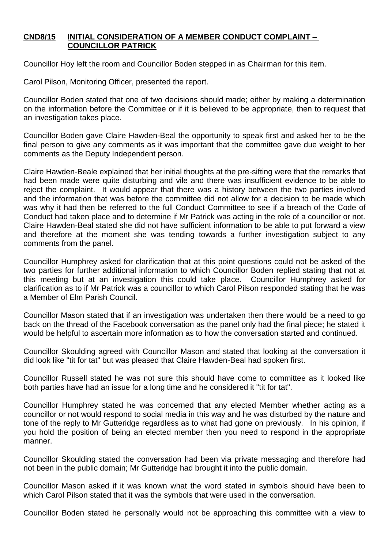#### **CND8/15 INITIAL CONSIDERATION OF A MEMBER CONDUCT COMPLAINT – COUNCILLOR PATRICK**

Councillor Hoy left the room and Councillor Boden stepped in as Chairman for this item.

Carol Pilson, Monitoring Officer, presented the report.

Councillor Boden stated that one of two decisions should made; either by making a determination on the information before the Committee or if it is believed to be appropriate, then to request that an investigation takes place.

Councillor Boden gave Claire Hawden-Beal the opportunity to speak first and asked her to be the final person to give any comments as it was important that the committee gave due weight to her comments as the Deputy Independent person.

Claire Hawden-Beale explained that her initial thoughts at the pre-sifting were that the remarks that had been made were quite disturbing and vile and there was insufficient evidence to be able to reject the complaint. It would appear that there was a history between the two parties involved and the information that was before the committee did not allow for a decision to be made which was why it had then be referred to the full Conduct Committee to see if a breach of the Code of Conduct had taken place and to determine if Mr Patrick was acting in the role of a councillor or not. Claire Hawden-Beal stated she did not have sufficient information to be able to put forward a view and therefore at the moment she was tending towards a further investigation subject to any comments from the panel.

Councillor Humphrey asked for clarification that at this point questions could not be asked of the two parties for further additional information to which Councillor Boden replied stating that not at this meeting but at an investigation this could take place. Councillor Humphrey asked for clarification as to if Mr Patrick was a councillor to which Carol Pilson responded stating that he was a Member of Elm Parish Council.

Councillor Mason stated that if an investigation was undertaken then there would be a need to go back on the thread of the Facebook conversation as the panel only had the final piece; he stated it would be helpful to ascertain more information as to how the conversation started and continued.

Councillor Skoulding agreed with Councillor Mason and stated that looking at the conversation it did look like "tit for tat" but was pleased that Claire Hawden-Beal had spoken first.

Councillor Russell stated he was not sure this should have come to committee as it looked like both parties have had an issue for a long time and he considered it "tit for tat".

Councillor Humphrey stated he was concerned that any elected Member whether acting as a councillor or not would respond to social media in this way and he was disturbed by the nature and tone of the reply to Mr Gutteridge regardless as to what had gone on previously. In his opinion, if you hold the position of being an elected member then you need to respond in the appropriate manner.

Councillor Skoulding stated the conversation had been via private messaging and therefore had not been in the public domain; Mr Gutteridge had brought it into the public domain.

Councillor Mason asked if it was known what the word stated in symbols should have been to which Carol Pilson stated that it was the symbols that were used in the conversation.

Councillor Boden stated he personally would not be approaching this committee with a view to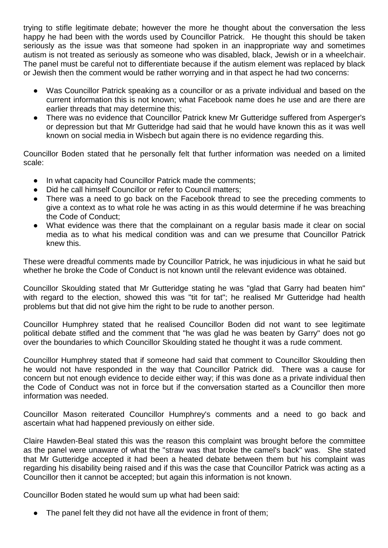trying to stifle legitimate debate; however the more he thought about the conversation the less happy he had been with the words used by Councillor Patrick. He thought this should be taken seriously as the issue was that someone had spoken in an inappropriate way and sometimes autism is not treated as seriously as someone who was disabled, black, Jewish or in a wheelchair. The panel must be careful not to differentiate because if the autism element was replaced by black or Jewish then the comment would be rather worrying and in that aspect he had two concerns:

- Was Councillor Patrick speaking as a councillor or as a private individual and based on the current information this is not known; what Facebook name does he use and are there are earlier threads that may determine this;
- There was no evidence that Councillor Patrick knew Mr Gutteridge suffered from Asperger's or depression but that Mr Gutteridge had said that he would have known this as it was well known on social media in Wisbech but again there is no evidence regarding this.

Councillor Boden stated that he personally felt that further information was needed on a limited scale:

- In what capacity had Councillor Patrick made the comments;
- Did he call himself Councillor or refer to Council matters:
- There was a need to go back on the Facebook thread to see the preceding comments to give a context as to what role he was acting in as this would determine if he was breaching the Code of Conduct;
- What evidence was there that the complainant on a regular basis made it clear on social media as to what his medical condition was and can we presume that Councillor Patrick knew this.

These were dreadful comments made by Councillor Patrick, he was injudicious in what he said but whether he broke the Code of Conduct is not known until the relevant evidence was obtained.

Councillor Skoulding stated that Mr Gutteridge stating he was "glad that Garry had beaten him" with regard to the election, showed this was "tit for tat"; he realised Mr Gutteridge had health problems but that did not give him the right to be rude to another person.

Councillor Humphrey stated that he realised Councillor Boden did not want to see legitimate political debate stifled and the comment that "he was glad he was beaten by Garry" does not go over the boundaries to which Councillor Skoulding stated he thought it was a rude comment.

Councillor Humphrey stated that if someone had said that comment to Councillor Skoulding then he would not have responded in the way that Councillor Patrick did. There was a cause for concern but not enough evidence to decide either way; if this was done as a private individual then the Code of Conduct was not in force but if the conversation started as a Councillor then more information was needed.

Councillor Mason reiterated Councillor Humphrey's comments and a need to go back and ascertain what had happened previously on either side.

Claire Hawden-Beal stated this was the reason this complaint was brought before the committee as the panel were unaware of what the "straw was that broke the camel's back" was. She stated that Mr Gutteridge accepted it had been a heated debate between them but his complaint was regarding his disability being raised and if this was the case that Councillor Patrick was acting as a Councillor then it cannot be accepted; but again this information is not known.

Councillor Boden stated he would sum up what had been said:

The panel felt they did not have all the evidence in front of them;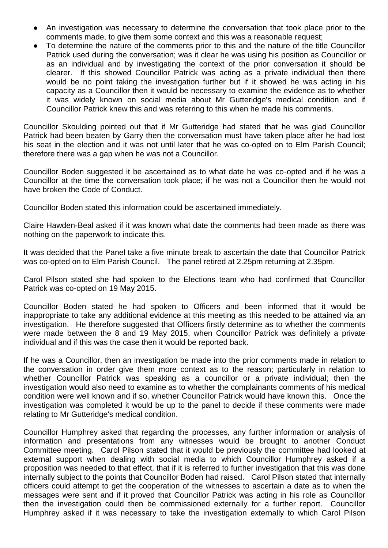- An investigation was necessary to determine the conversation that took place prior to the comments made, to give them some context and this was a reasonable request;
- To determine the nature of the comments prior to this and the nature of the title Councillor Patrick used during the conversation; was it clear he was using his position as Councillor or as an individual and by investigating the context of the prior conversation it should be clearer. If this showed Councillor Patrick was acting as a private individual then there would be no point taking the investigation further but if it showed he was acting in his capacity as a Councillor then it would be necessary to examine the evidence as to whether it was widely known on social media about Mr Gutteridge's medical condition and if Councillor Patrick knew this and was referring to this when he made his comments.

Councillor Skoulding pointed out that if Mr Gutteridge had stated that he was glad Councillor Patrick had been beaten by Garry then the conversation must have taken place after he had lost his seat in the election and it was not until later that he was co-opted on to Elm Parish Council; therefore there was a gap when he was not a Councillor.

Councillor Boden suggested it be ascertained as to what date he was co-opted and if he was a Councillor at the time the conversation took place; if he was not a Councillor then he would not have broken the Code of Conduct.

Councillor Boden stated this information could be ascertained immediately.

Claire Hawden-Beal asked if it was known what date the comments had been made as there was nothing on the paperwork to indicate this.

It was decided that the Panel take a five minute break to ascertain the date that Councillor Patrick was co-opted on to Elm Parish Council. The panel retired at 2.25pm returning at 2.35pm.

Carol Pilson stated she had spoken to the Elections team who had confirmed that Councillor Patrick was co-opted on 19 May 2015.

Councillor Boden stated he had spoken to Officers and been informed that it would be inappropriate to take any additional evidence at this meeting as this needed to be attained via an investigation. He therefore suggested that Officers firstly determine as to whether the comments were made between the 8 and 19 May 2015, when Councillor Patrick was definitely a private individual and if this was the case then it would be reported back.

If he was a Councillor, then an investigation be made into the prior comments made in relation to the conversation in order give them more context as to the reason; particularly in relation to whether Councillor Patrick was speaking as a councillor or a private individual; then the investigation would also need to examine as to whether the complainants comments of his medical condition were well known and if so, whether Councillor Patrick would have known this. Once the investigation was completed it would be up to the panel to decide if these comments were made relating to Mr Gutteridge's medical condition.

Councillor Humphrey asked that regarding the processes, any further information or analysis of information and presentations from any witnesses would be brought to another Conduct Committee meeting. Carol Pilson stated that it would be previously the committee had looked at external support when dealing with social media to which Councillor Humphrey asked if a proposition was needed to that effect, that if it is referred to further investigation that this was done internally subject to the points that Councillor Boden had raised. Carol Pilson stated that internally officers could attempt to get the cooperation of the witnesses to ascertain a date as to when the messages were sent and if it proved that Councillor Patrick was acting in his role as Councillor then the investigation could then be commissioned externally for a further report. Councillor Humphrey asked if it was necessary to take the investigation externally to which Carol Pilson